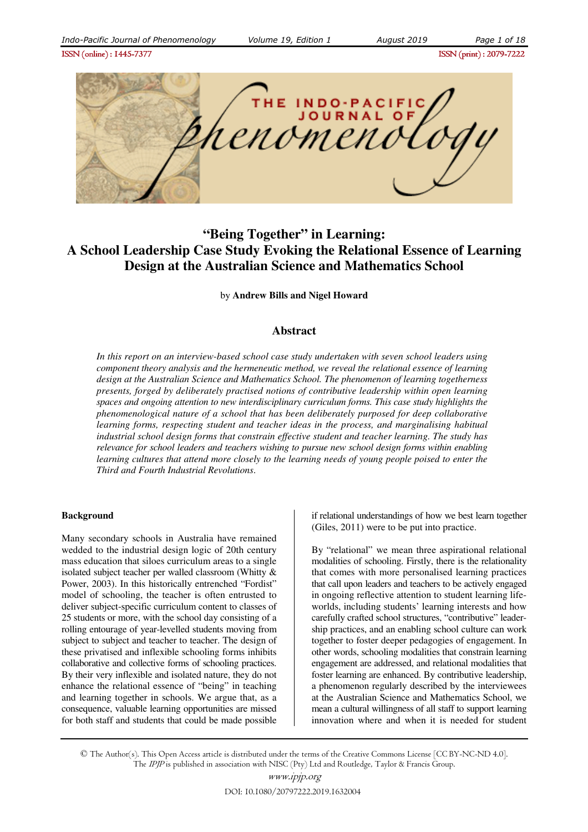ISSN (online) : 1445- ISSN (online) : 1445-7377ISSN (print) : 2079- ISSN (print) 2079-7222



# **"Being Together" in Learning: A School Leadership Case Study Evoking the Relational Essence of Learning Design at the Australian Science and Mathematics School**

by **Andrew Bills and Nigel Howard**

# **Abstract**

*In this report on an interview-based school case study undertaken with seven school leaders using component theory analysis and the hermeneutic method, we reveal the relational essence of learning design at the Australian Science and Mathematics School. The phenomenon of learning togetherness presents, forged by deliberately practised notions of contributive leadership within open learning spaces and ongoing attention to new interdisciplinary curriculum forms. This case study highlights the phenomenological nature of a school that has been deliberately purposed for deep collaborative*  learning forms, respecting student and teacher ideas in the process, and marginalising habitual *industrial school design forms that constrain effective student and teacher learning. The study has relevance for school leaders and teachers wishing to pursue new school design forms within enabling learning cultures that attend more closely to the learning needs of young people poised to enter the Third and Fourth Industrial Revolutions*.

#### **Background**

Many secondary schools in Australia have remained wedded to the industrial design logic of 20th century mass education that siloes curriculum areas to a single isolated subject teacher per walled classroom (Whitty & Power, 2003). In this historically entrenched "Fordist" model of schooling, the teacher is often entrusted to deliver subject-specific curriculum content to classes of 25 students or more, with the school day consisting of a rolling entourage of year-levelled students moving from subject to subject and teacher to teacher. The design of these privatised and inflexible schooling forms inhibits collaborative and collective forms of schooling practices. By their very inflexible and isolated nature, they do not enhance the relational essence of "being" in teaching and learning together in schools. We argue that, as a consequence, valuable learning opportunities are missed for both staff and students that could be made possible if relational understandings of how we best learn together (Giles, 2011) were to be put into practice.

By "relational" we mean three aspirational relational modalities of schooling. Firstly, there is the relationality that comes with more personalised learning practices that call upon leaders and teachers to be actively engaged in ongoing reflective attention to student learning lifeworlds, including students' learning interests and how carefully crafted school structures, "contributive" leadership practices, and an enabling school culture can work together to foster deeper pedagogies of engagement. In other words, schooling modalities that constrain learning engagement are addressed, and relational modalities that foster learning are enhanced. By contributive leadership, a phenomenon regularly described by the interviewees at the Australian Science and Mathematics School, we mean a cultural willingness of all staff to support learning innovation where and when it is needed for student

© The Author(s). This Open Access article is distributed under the terms of the Creative Commons License [CC BY-NC-ND 4.0]. The *IPJP* is published in association with NISC (Pty) Ltd and Routledge, Taylor & Francis Group.

> www.ipjp.org DOI: 10.1080/20797222.2019.1632004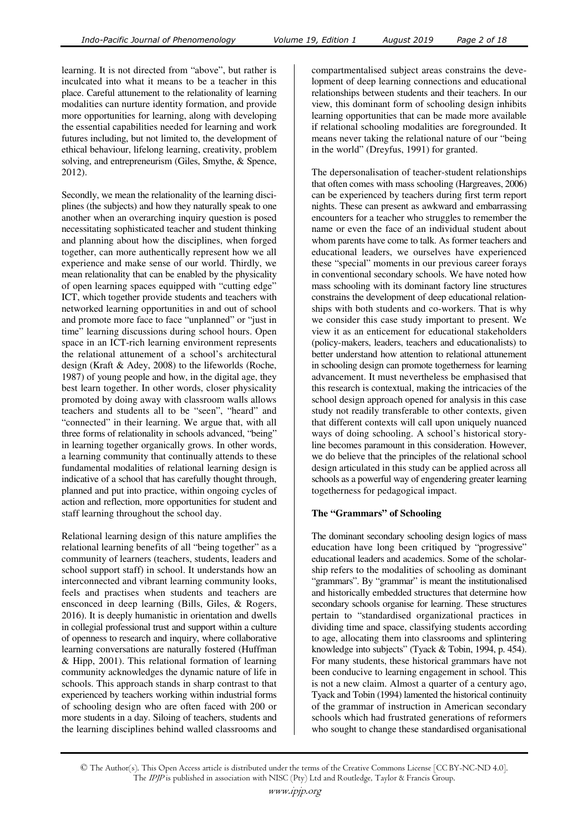learning. It is not directed from "above", but rather is inculcated into what it means to be a teacher in this place. Careful attunement to the relationality of learning modalities can nurture identity formation, and provide more opportunities for learning, along with developing the essential capabilities needed for learning and work futures including, but not limited to, the development of ethical behaviour, lifelong learning, creativity, problem solving, and entrepreneurism (Giles, Smythe, & Spence, 2012).

Secondly, we mean the relationality of the learning disciplines (the subjects) and how they naturally speak to one another when an overarching inquiry question is posed necessitating sophisticated teacher and student thinking and planning about how the disciplines, when forged together, can more authentically represent how we all experience and make sense of our world. Thirdly, we mean relationality that can be enabled by the physicality of open learning spaces equipped with "cutting edge" ICT, which together provide students and teachers with networked learning opportunities in and out of school and promote more face to face "unplanned" or "just in time" learning discussions during school hours. Open space in an ICT-rich learning environment represents the relational attunement of a school's architectural design (Kraft & Adey, 2008) to the lifeworlds (Roche, 1987) of young people and how, in the digital age, they best learn together. In other words, closer physicality promoted by doing away with classroom walls allows teachers and students all to be "seen", "heard" and "connected" in their learning. We argue that, with all three forms of relationality in schools advanced, "being" in learning together organically grows. In other words, a learning community that continually attends to these fundamental modalities of relational learning design is indicative of a school that has carefully thought through, planned and put into practice, within ongoing cycles of action and reflection, more opportunities for student and staff learning throughout the school day.

Relational learning design of this nature amplifies the relational learning benefits of all "being together" as a community of learners (teachers, students, leaders and school support staff) in school. It understands how an interconnected and vibrant learning community looks, feels and practises when students and teachers are ensconced in deep learning (Bills, Giles, & Rogers, 2016). It is deeply humanistic in orientation and dwells in collegial professional trust and support within a culture of openness to research and inquiry, where collaborative learning conversations are naturally fostered (Huffman & Hipp, 2001). This relational formation of learning community acknowledges the dynamic nature of life in schools. This approach stands in sharp contrast to that experienced by teachers working within industrial forms of schooling design who are often faced with 200 or more students in a day. Siloing of teachers, students and the learning disciplines behind walled classrooms and compartmentalised subject areas constrains the development of deep learning connections and educational relationships between students and their teachers. In our view, this dominant form of schooling design inhibits learning opportunities that can be made more available if relational schooling modalities are foregrounded. It means never taking the relational nature of our "being in the world" (Dreyfus, 1991) for granted.

The depersonalisation of teacher-student relationships that often comes with mass schooling (Hargreaves, 2006) can be experienced by teachers during first term report nights. These can present as awkward and embarrassing encounters for a teacher who struggles to remember the name or even the face of an individual student about whom parents have come to talk. As former teachers and educational leaders, we ourselves have experienced these "special" moments in our previous career forays in conventional secondary schools. We have noted how mass schooling with its dominant factory line structures constrains the development of deep educational relationships with both students and co-workers. That is why we consider this case study important to present. We view it as an enticement for educational stakeholders (policy-makers, leaders, teachers and educationalists) to better understand how attention to relational attunement in schooling design can promote togetherness for learning advancement. It must nevertheless be emphasised that this research is contextual, making the intricacies of the school design approach opened for analysis in this case study not readily transferable to other contexts, given that different contexts will call upon uniquely nuanced ways of doing schooling. A school's historical storyline becomes paramount in this consideration. However, we do believe that the principles of the relational school design articulated in this study can be applied across all schools as a powerful way of engendering greater learning togetherness for pedagogical impact.

## **The "Grammars" of Schooling**

The dominant secondary schooling design logics of mass education have long been critiqued by "progressive" educational leaders and academics. Some of the scholarship refers to the modalities of schooling as dominant "grammars". By "grammar" is meant the institutionalised and historically embedded structures that determine how secondary schools organise for learning. These structures pertain to "standardised organizational practices in dividing time and space, classifying students according to age, allocating them into classrooms and splintering knowledge into subjects" (Tyack & Tobin, 1994, p. 454). For many students, these historical grammars have not been conducive to learning engagement in school. This is not a new claim. Almost a quarter of a century ago, Tyack and Tobin (1994) lamented the historical continuity of the grammar of instruction in American secondary schools which had frustrated generations of reformers who sought to change these standardised organisational

<sup>©</sup> The Author(s). This Open Access article is distributed under the terms of the Creative Commons License [CC BY-NC-ND 4.0]. The IPJP is published in association with NISC (Pty) Ltd and Routledge, Taylor & Francis Group.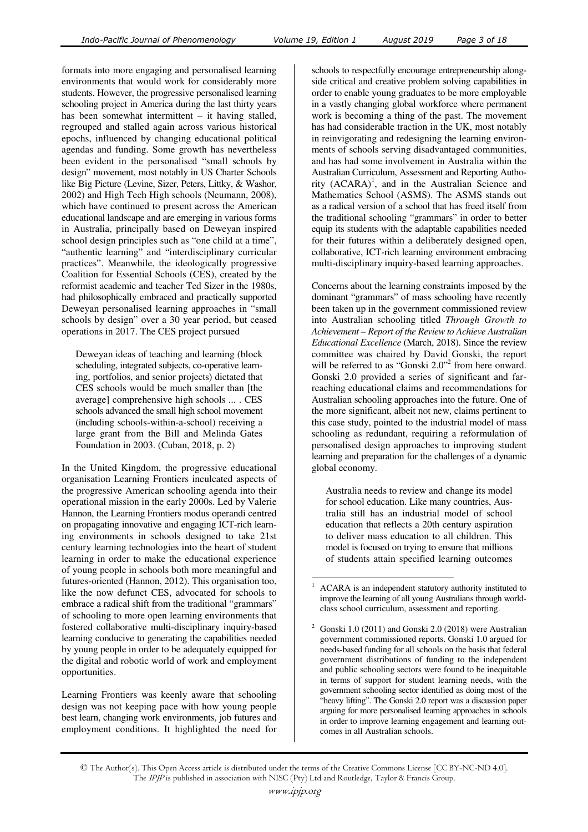formats into more engaging and personalised learning environments that would work for considerably more students. However, the progressive personalised learning schooling project in America during the last thirty years has been somewhat intermittent – it having stalled, regrouped and stalled again across various historical epochs, influenced by changing educational political agendas and funding. Some growth has nevertheless been evident in the personalised "small schools by design" movement, most notably in US Charter Schools like Big Picture (Levine, Sizer, Peters, Littky, & Washor, 2002) and High Tech High schools (Neumann, 2008), which have continued to present across the American educational landscape and are emerging in various forms in Australia, principally based on Deweyan inspired school design principles such as "one child at a time", "authentic learning" and "interdisciplinary curricular practices". Meanwhile, the ideologically progressive Coalition for Essential Schools (CES), created by the reformist academic and teacher Ted Sizer in the 1980s, had philosophically embraced and practically supported Deweyan personalised learning approaches in "small schools by design" over a 30 year period, but ceased operations in 2017. The CES project pursued

Deweyan ideas of teaching and learning (block scheduling, integrated subjects, co-operative learning, portfolios, and senior projects) dictated that CES schools would be much smaller than [the average] comprehensive high schools ... . CES schools advanced the small high school movement (including schools-within-a-school) receiving a large grant from the Bill and Melinda Gates Foundation in 2003. (Cuban, 2018, p. 2)

In the United Kingdom, the progressive educational organisation Learning Frontiers inculcated aspects of the progressive American schooling agenda into their operational mission in the early 2000s. Led by Valerie Hannon, the Learning Frontiers modus operandi centred on propagating innovative and engaging ICT-rich learning environments in schools designed to take 21st century learning technologies into the heart of student learning in order to make the educational experience of young people in schools both more meaningful and futures-oriented (Hannon, 2012). This organisation too, like the now defunct CES, advocated for schools to embrace a radical shift from the traditional "grammars" of schooling to more open learning environments that fostered collaborative multi-disciplinary inquiry-based learning conducive to generating the capabilities needed by young people in order to be adequately equipped for the digital and robotic world of work and employment opportunities.

Learning Frontiers was keenly aware that schooling design was not keeping pace with how young people best learn, changing work environments, job futures and employment conditions. It highlighted the need for

schools to respectfully encourage entrepreneurship alongside critical and creative problem solving capabilities in order to enable young graduates to be more employable in a vastly changing global workforce where permanent work is becoming a thing of the past. The movement has had considerable traction in the UK, most notably in reinvigorating and redesigning the learning environments of schools serving disadvantaged communities, and has had some involvement in Australia within the Australian Curriculum, Assessment and Reporting Authority  $(ACARA)^1$ , and in the Australian Science and Mathematics School (ASMS). The ASMS stands out as a radical version of a school that has freed itself from the traditional schooling "grammars" in order to better equip its students with the adaptable capabilities needed for their futures within a deliberately designed open, collaborative, ICT-rich learning environment embracing multi-disciplinary inquiry-based learning approaches.

Concerns about the learning constraints imposed by the dominant "grammars" of mass schooling have recently been taken up in the government commissioned review into Australian schooling titled *Through Growth to Achievement – Report of the Review to Achieve Australian Educational Excellence* (March, 2018). Since the review committee was chaired by David Gonski, the report will be referred to as "Gonski 2.0"<sup>2</sup> from here onward. Gonski 2.0 provided a series of significant and farreaching educational claims and recommendations for Australian schooling approaches into the future. One of the more significant, albeit not new, claims pertinent to this case study, pointed to the industrial model of mass schooling as redundant, requiring a reformulation of personalised design approaches to improving student learning and preparation for the challenges of a dynamic global economy.

Australia needs to review and change its model for school education. Like many countries, Australia still has an industrial model of school education that reflects a 20th century aspiration to deliver mass education to all children. This model is focused on trying to ensure that millions of students attain specified learning outcomes

 $\overline{a}$ 1 ACARA is an independent statutory authority instituted to improve the learning of all young Australians through worldclass school curriculum, assessment and reporting.

<sup>&</sup>lt;sup>2</sup> Gonski 1.0 (2011) and Gonski 2.0 (2018) were Australian government commissioned reports. Gonski 1.0 argued for needs-based funding for all schools on the basis that federal government distributions of funding to the independent and public schooling sectors were found to be inequitable in terms of support for student learning needs, with the government schooling sector identified as doing most of the "heavy lifting". The Gonski 2.0 report was a discussion paper arguing for more personalised learning approaches in schools in order to improve learning engagement and learning outcomes in all Australian schools.

<sup>©</sup> The Author(s). This Open Access article is distributed under the terms of the Creative Commons License [CC BY-NC-ND 4.0]. The IPJP is published in association with NISC (Pty) Ltd and Routledge, Taylor & Francis Group.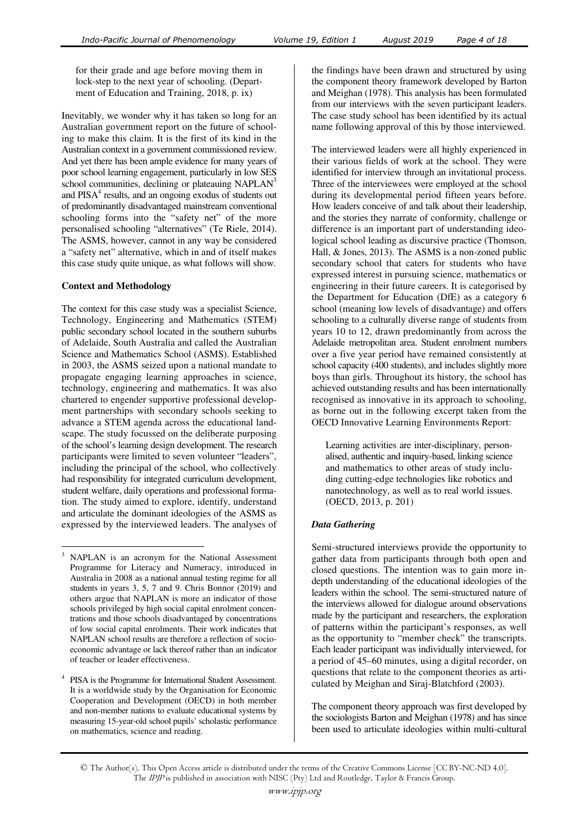for their grade and age before moving them in lock-step to the next year of schooling. (Department of Education and Training, 2018, p. ix)

Inevitably, we wonder why it has taken so long for an Australian government report on the future of schooling to make this claim. It is the first of its kind in the Australian context in a government commissioned review. And yet there has been ample evidence for many years of poor school learning engagement, particularly in low SES school communities, declining or plateauing NAPLAN<sup>3</sup> and PISA<sup>4</sup> results, and an ongoing exodus of students out of predominantly disadvantaged mainstream conventional schooling forms into the "safety net" of the more personalised schooling "alternatives" (Te Riele, 2014). The ASMS, however, cannot in any way be considered a "safety net" alternative, which in and of itself makes this case study quite unique, as what follows will show.

#### **Context and Methodology**

 $\overline{a}$ 

The context for this case study was a specialist Science, Technology, Engineering and Mathematics (STEM) public secondary school located in the southern suburbs of Adelaide, South Australia and called the Australian Science and Mathematics School (ASMS). Established in 2003, the ASMS seized upon a national mandate to propagate engaging learning approaches in science, technology, engineering and mathematics. It was also chartered to engender supportive professional development partnerships with secondary schools seeking to advance a STEM agenda across the educational landscape. The study focussed on the deliberate purposing of the school's learning design development. The research participants were limited to seven volunteer "leaders", including the principal of the school, who collectively had responsibility for integrated curriculum development, student welfare, daily operations and professional formation. The study aimed to explore, identify, understand and articulate the dominant ideologies of the ASMS as expressed by the interviewed leaders. The analyses of

the findings have been drawn and structured by using the component theory framework developed by Barton and Meighan (1978). This analysis has been formulated from our interviews with the seven participant leaders. The case study school has been identified by its actual name following approval of this by those interviewed.

The interviewed leaders were all highly experienced in their various fields of work at the school. They were identified for interview through an invitational process. Three of the interviewees were employed at the school during its developmental period fifteen years before. How leaders conceive of and talk about their leadership, and the stories they narrate of conformity, challenge or difference is an important part of understanding ideological school leading as discursive practice (Thomson, Hall, & Jones, 2013). The ASMS is a non-zoned public secondary school that caters for students who have expressed interest in pursuing science, mathematics or engineering in their future careers. It is categorised by the Department for Education (DfE) as a category 6 school (meaning low levels of disadvantage) and offers schooling to a culturally diverse range of students from years 10 to 12, drawn predominantly from across the Adelaide metropolitan area. Student enrolment numbers over a five year period have remained consistently at school capacity (400 students), and includes slightly more boys than girls. Throughout its history, the school has achieved outstanding results and has been internationally recognised as innovative in its approach to schooling, as borne out in the following excerpt taken from the OECD Innovative Learning Environments Report:

Learning activities are inter-disciplinary, personalised, authentic and inquiry-based, linking science and mathematics to other areas of study including cutting-edge technologies like robotics and nanotechnology, as well as to real world issues. (OECD, 2013, p. 201)

#### *Data Gathering*

Semi-structured interviews provide the opportunity to gather data from participants through both open and closed questions. The intention was to gain more indepth understanding of the educational ideologies of the leaders within the school. The semi-structured nature of the interviews allowed for dialogue around observations made by the participant and researchers, the exploration of patterns within the participant's responses, as well as the opportunity to "member check" the transcripts. Each leader participant was individually interviewed, for a period of 45–60 minutes, using a digital recorder, on questions that relate to the component theories as articulated by Meighan and Siraj-Blatchford (2003).

The component theory approach was first developed by the sociologists Barton and Meighan (1978) and has since been used to articulate ideologies within multi-cultural

<sup>3</sup> NAPLAN is an acronym for the National Assessment Programme for Literacy and Numeracy, introduced in Australia in 2008 as a national annual testing regime for all students in years 3, 5, 7 and 9. Chris Bonnor (2019) and others argue that NAPLAN is more an indicator of those schools privileged by high social capital enrolment concentrations and those schools disadvantaged by concentrations of low social capital enrolments. Their work indicates that NAPLAN school results are therefore a reflection of socioeconomic advantage or lack thereof rather than an indicator of teacher or leader effectiveness.

<sup>4</sup> PISA is the Programme for International Student Assessment. It is a worldwide study by the Organisation for Economic Cooperation and Development (OECD) in both member and non-member nations to evaluate educational systems by measuring 15-year-old school pupils' scholastic performance on mathematics, science and reading.

<sup>©</sup> The Author(s). This Open Access article is distributed under the terms of the Creative Commons License [CC BY-NC-ND 4.0]. The IPJP is published in association with NISC (Pty) Ltd and Routledge, Taylor & Francis Group.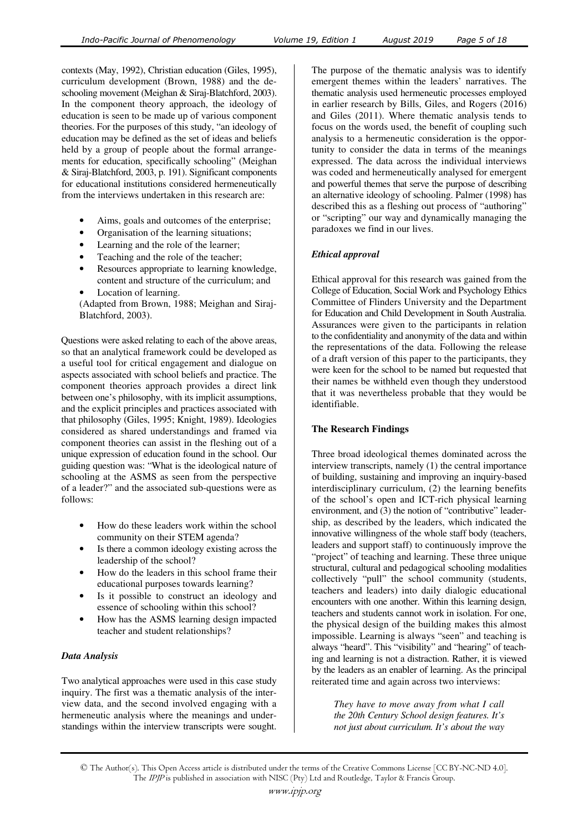contexts (May, 1992), Christian education (Giles, 1995), curriculum development (Brown, 1988) and the deschooling movement (Meighan & Siraj-Blatchford, 2003). In the component theory approach, the ideology of education is seen to be made up of various component theories. For the purposes of this study, "an ideology of education may be defined as the set of ideas and beliefs held by a group of people about the formal arrangements for education, specifically schooling" (Meighan & Siraj-Blatchford, 2003, p. 191). Significant components for educational institutions considered hermeneutically from the interviews undertaken in this research are:

- Aims, goals and outcomes of the enterprise;
- Organisation of the learning situations;
- Learning and the role of the learner;
- Teaching and the role of the teacher:
- Resources appropriate to learning knowledge, content and structure of the curriculum; and
- Location of learning.
- (Adapted from Brown, 1988; Meighan and Siraj-Blatchford, 2003).

Questions were asked relating to each of the above areas, so that an analytical framework could be developed as a useful tool for critical engagement and dialogue on aspects associated with school beliefs and practice. The component theories approach provides a direct link between one's philosophy, with its implicit assumptions, and the explicit principles and practices associated with that philosophy (Giles, 1995; Knight, 1989). Ideologies considered as shared understandings and framed via component theories can assist in the fleshing out of a unique expression of education found in the school. Our guiding question was: "What is the ideological nature of schooling at the ASMS as seen from the perspective of a leader?" and the associated sub-questions were as follows:

- How do these leaders work within the school community on their STEM agenda?
- Is there a common ideology existing across the leadership of the school?
- How do the leaders in this school frame their educational purposes towards learning?
- Is it possible to construct an ideology and essence of schooling within this school?
- How has the ASMS learning design impacted teacher and student relationships?

## *Data Analysis*

Two analytical approaches were used in this case study inquiry. The first was a thematic analysis of the interview data, and the second involved engaging with a hermeneutic analysis where the meanings and understandings within the interview transcripts were sought. The purpose of the thematic analysis was to identify emergent themes within the leaders' narratives. The thematic analysis used hermeneutic processes employed in earlier research by Bills, Giles, and Rogers (2016) and Giles (2011). Where thematic analysis tends to focus on the words used, the benefit of coupling such analysis to a hermeneutic consideration is the opportunity to consider the data in terms of the meanings expressed. The data across the individual interviews was coded and hermeneutically analysed for emergent and powerful themes that serve the purpose of describing an alternative ideology of schooling. Palmer (1998) has described this as a fleshing out process of "authoring" or "scripting" our way and dynamically managing the paradoxes we find in our lives.

# *Ethical approval*

Ethical approval for this research was gained from the College of Education, Social Work and Psychology Ethics Committee of Flinders University and the Department for Education and Child Development in South Australia. Assurances were given to the participants in relation to the confidentiality and anonymity of the data and within the representations of the data. Following the release of a draft version of this paper to the participants, they were keen for the school to be named but requested that their names be withheld even though they understood that it was nevertheless probable that they would be identifiable.

## **The Research Findings**

Three broad ideological themes dominated across the interview transcripts, namely (1) the central importance of building, sustaining and improving an inquiry-based interdisciplinary curriculum, (2) the learning benefits of the school's open and ICT-rich physical learning environment, and (3) the notion of "contributive" leadership, as described by the leaders, which indicated the innovative willingness of the whole staff body (teachers, leaders and support staff) to continuously improve the "project" of teaching and learning. These three unique structural, cultural and pedagogical schooling modalities collectively "pull" the school community (students, teachers and leaders) into daily dialogic educational encounters with one another. Within this learning design, teachers and students cannot work in isolation. For one, the physical design of the building makes this almost impossible. Learning is always "seen" and teaching is always "heard". This "visibility" and "hearing" of teaching and learning is not a distraction. Rather, it is viewed by the leaders as an enabler of learning. As the principal reiterated time and again across two interviews:

> *They have to move away from what I call the 20th Century School design features. It's not just about curriculum. It's about the way*

<sup>©</sup> The Author(s). This Open Access article is distributed under the terms of the Creative Commons License [CC BY-NC-ND 4.0]. The IPJP is published in association with NISC (Pty) Ltd and Routledge, Taylor & Francis Group.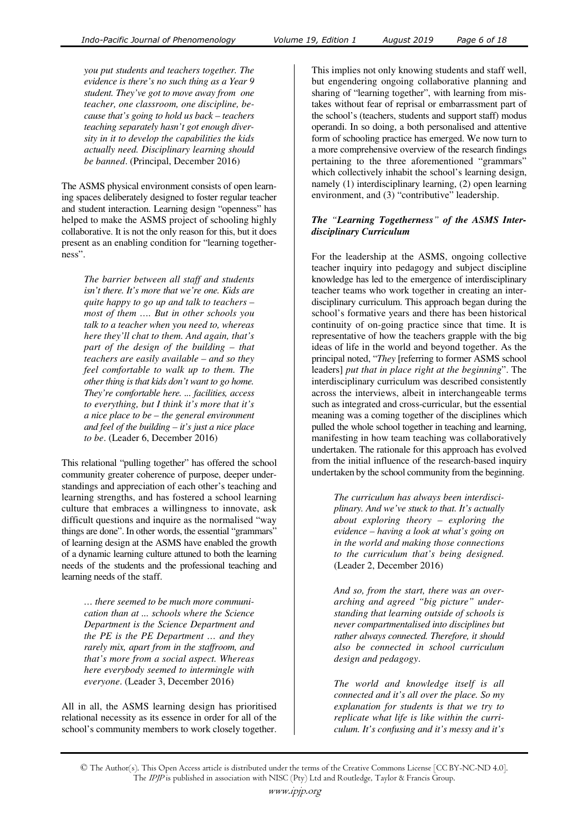*you put students and teachers together. The evidence is there's no such thing as a Year 9 student. They've got to move away from one teacher, one classroom, one discipline, because that's going to hold us back – teachers teaching separately hasn't got enough diversity in it to develop the capabilities the kids actually need. Disciplinary learning should be banned*. (Principal, December 2016)

The ASMS physical environment consists of open learning spaces deliberately designed to foster regular teacher and student interaction. Learning design "openness" has helped to make the ASMS project of schooling highly collaborative. It is not the only reason for this, but it does present as an enabling condition for "learning togetherness".

*The barrier between all staff and students isn't there. It's more that we're one. Kids are quite happy to go up and talk to teachers – most of them …. But in other schools you talk to a teacher when you need to, whereas here they'll chat to them. And again, that's part of the design of the building – that teachers are easily available – and so they feel comfortable to walk up to them. The other thing is that kids don't want to go home. They're comfortable here. ... facilities, access to everything, but I think it's more that it's a nice place to be – the general environment and feel of the building – it's just a nice place to be*. (Leader 6, December 2016)

This relational "pulling together" has offered the school community greater coherence of purpose, deeper understandings and appreciation of each other's teaching and learning strengths, and has fostered a school learning culture that embraces a willingness to innovate, ask difficult questions and inquire as the normalised "way things are done". In other words, the essential "grammars" of learning design at the ASMS have enabled the growth of a dynamic learning culture attuned to both the learning needs of the students and the professional teaching and learning needs of the staff.

> *… there seemed to be much more communication than at ... schools where the Science Department is the Science Department and the PE is the PE Department … and they rarely mix, apart from in the staffroom, and that's more from a social aspect. Whereas here everybody seemed to intermingle with everyone*. (Leader 3, December 2016)

All in all, the ASMS learning design has prioritised relational necessity as its essence in order for all of the school's community members to work closely together. This implies not only knowing students and staff well, but engendering ongoing collaborative planning and sharing of "learning together", with learning from mistakes without fear of reprisal or embarrassment part of the school's (teachers, students and support staff) modus operandi. In so doing, a both personalised and attentive form of schooling practice has emerged. We now turn to a more comprehensive overview of the research findings pertaining to the three aforementioned "grammars" which collectively inhabit the school's learning design, namely (1) interdisciplinary learning, (2) open learning environment, and (3) "contributive" leadership.

# *The "Learning Togetherness" of the ASMS Interdisciplinary Curriculum*

For the leadership at the ASMS, ongoing collective teacher inquiry into pedagogy and subject discipline knowledge has led to the emergence of interdisciplinary teacher teams who work together in creating an interdisciplinary curriculum. This approach began during the school's formative years and there has been historical continuity of on-going practice since that time. It is representative of how the teachers grapple with the big ideas of life in the world and beyond together. As the principal noted, "*They* [referring to former ASMS school leaders] *put that in place right at the beginning*". The interdisciplinary curriculum was described consistently across the interviews, albeit in interchangeable terms such as integrated and cross-curricular, but the essential meaning was a coming together of the disciplines which pulled the whole school together in teaching and learning, manifesting in how team teaching was collaboratively undertaken. The rationale for this approach has evolved from the initial influence of the research-based inquiry undertaken by the school community from the beginning.

*The curriculum has always been interdisciplinary. And we've stuck to that. It's actually about exploring theory – exploring the evidence – having a look at what's going on in the world and making those connections to the curriculum that's being designed.* (Leader 2, December 2016)

*And so, from the start, there was an overarching and agreed "big picture" understanding that learning outside of schools is never compartmentalised into disciplines but rather always connected. Therefore, it should also be connected in school curriculum design and pedagogy*.

*The world and knowledge itself is all connected and it's all over the place. So my explanation for students is that we try to replicate what life is like within the curriculum. It's confusing and it's messy and it's* 

<sup>©</sup> The Author(s). This Open Access article is distributed under the terms of the Creative Commons License [CC BY-NC-ND 4.0]. The IPJP is published in association with NISC (Pty) Ltd and Routledge, Taylor & Francis Group.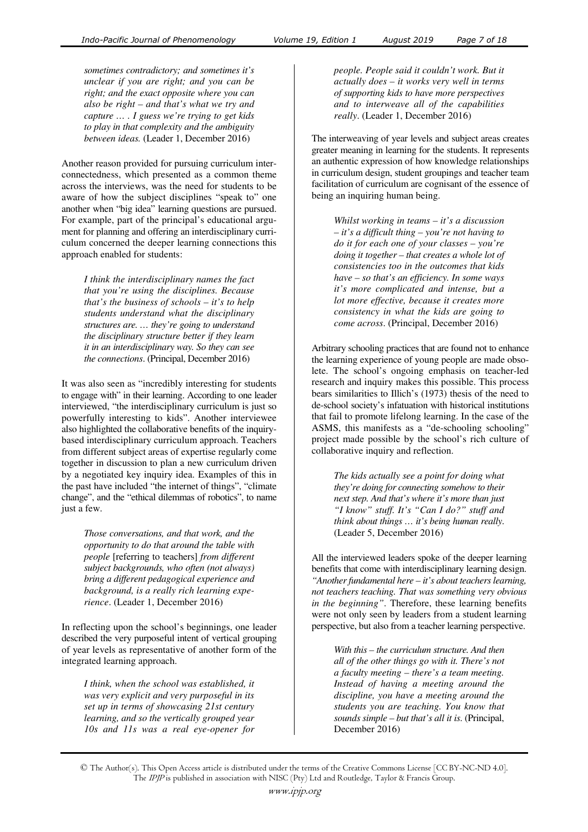*sometimes contradictory; and sometimes it's unclear if you are right; and you can be right; and the exact opposite where you can also be right – and that's what we try and capture … . I guess we're trying to get kids to play in that complexity and the ambiguity between ideas.* (Leader 1, December 2016)

Another reason provided for pursuing curriculum interconnectedness, which presented as a common theme across the interviews, was the need for students to be aware of how the subject disciplines "speak to" one another when "big idea" learning questions are pursued. For example, part of the principal's educational argument for planning and offering an interdisciplinary curriculum concerned the deeper learning connections this approach enabled for students:

> *I think the interdisciplinary names the fact that you're using the disciplines. Because that's the business of schools – it's to help students understand what the disciplinary structures are. … they're going to understand the disciplinary structure better if they learn it in an interdisciplinary way. So they can see the connections*. (Principal, December 2016)

It was also seen as "incredibly interesting for students to engage with" in their learning. According to one leader interviewed, "the interdisciplinary curriculum is just so powerfully interesting to kids". Another interviewee also highlighted the collaborative benefits of the inquirybased interdisciplinary curriculum approach. Teachers from different subject areas of expertise regularly come together in discussion to plan a new curriculum driven by a negotiated key inquiry idea. Examples of this in the past have included "the internet of things", "climate change", and the "ethical dilemmas of robotics", to name just a few.

> *Those conversations, and that work, and the opportunity to do that around the table with people* [referring to teachers] *from different subject backgrounds, who often (not always) bring a different pedagogical experience and background, is a really rich learning experience*. (Leader 1, December 2016)

In reflecting upon the school's beginnings, one leader described the very purposeful intent of vertical grouping of year levels as representative of another form of the integrated learning approach.

> *I think, when the school was established, it was very explicit and very purposeful in its set up in terms of showcasing 21st century learning, and so the vertically grouped year 10s and 11s was a real eye-opener for*

*people. People said it couldn't work. But it actually does – it works very well in terms of supporting kids to have more perspectives and to interweave all of the capabilities really*. (Leader 1, December 2016)

The interweaving of year levels and subject areas creates greater meaning in learning for the students. It represents an authentic expression of how knowledge relationships in curriculum design, student groupings and teacher team facilitation of curriculum are cognisant of the essence of being an inquiring human being.

*Whilst working in teams – it's a discussion – it's a difficult thing – you're not having to do it for each one of your classes – you're doing it together – that creates a whole lot of consistencies too in the outcomes that kids have – so that's an efficiency. In some ways it's more complicated and intense, but a lot more effective, because it creates more consistency in what the kids are going to come across*. (Principal, December 2016)

Arbitrary schooling practices that are found not to enhance the learning experience of young people are made obsolete. The school's ongoing emphasis on teacher-led research and inquiry makes this possible. This process bears similarities to Illich's (1973) thesis of the need to de-school society's infatuation with historical institutions that fail to promote lifelong learning. In the case of the ASMS, this manifests as a "de-schooling schooling" project made possible by the school's rich culture of collaborative inquiry and reflection.

*The kids actually see a point for doing what they're doing for connecting somehow to their next step. And that's where it's more than just "I know" stuff. It's "Can I do?" stuff and think about things … it's being human really*. (Leader 5, December 2016)

All the interviewed leaders spoke of the deeper learning benefits that come with interdisciplinary learning design. *"Another fundamental here – it's about teachers learning, not teachers teaching. That was something very obvious in the beginning"*. Therefore, these learning benefits were not only seen by leaders from a student learning perspective, but also from a teacher learning perspective.

*With this – the curriculum structure. And then all of the other things go with it. There's not a faculty meeting – there's a team meeting. Instead of having a meeting around the discipline, you have a meeting around the students you are teaching. You know that sounds simple – but that's all it is*. (Principal, December 2016)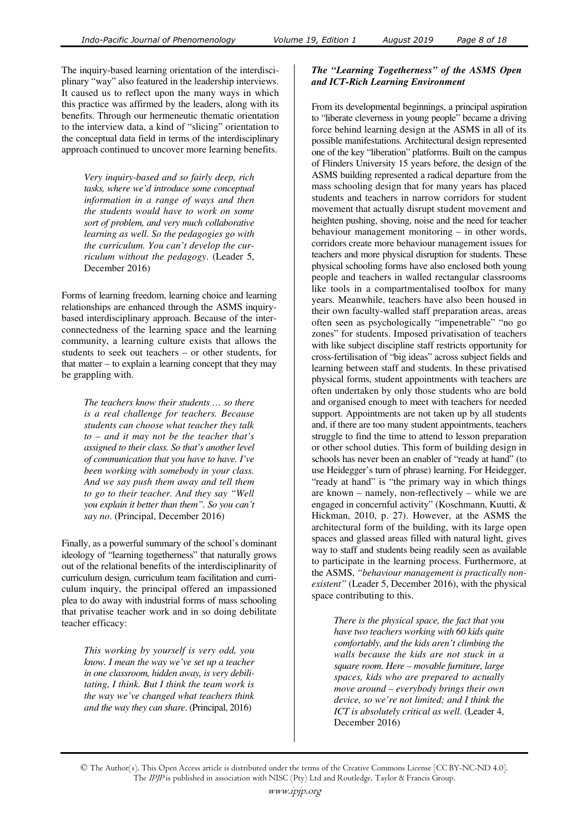The inquiry-based learning orientation of the interdisciplinary "way" also featured in the leadership interviews. It caused us to reflect upon the many ways in which this practice was affirmed by the leaders, along with its benefits. Through our hermeneutic thematic orientation to the interview data, a kind of "slicing" orientation to the conceptual data field in terms of the interdisciplinary approach continued to uncover more learning benefits.

*Very inquiry-based and so fairly deep, rich tasks, where we'd introduce some conceptual information in a range of ways and then the students would have to work on some sort of problem, and very much collaborative learning as well. So the pedagogies go with the curriculum. You can't develop the curriculum without the pedagogy*. (Leader 5, December 2016)

Forms of learning freedom, learning choice and learning relationships are enhanced through the ASMS inquirybased interdisciplinary approach. Because of the interconnectedness of the learning space and the learning community, a learning culture exists that allows the students to seek out teachers – or other students, for that matter – to explain a learning concept that they may be grappling with.

> *The teachers know their students … so there is a real challenge for teachers. Because students can choose what teacher they talk to – and it may not be the teacher that's assigned to their class. So that's another level of communication that you have to have. I've been working with somebody in your class. And we say push them away and tell them to go to their teacher. And they say "Well you explain it better than them". So you can't say no*. (Principal, December 2016)

Finally, as a powerful summary of the school's dominant ideology of "learning togetherness" that naturally grows out of the relational benefits of the interdisciplinarity of curriculum design, curriculum team facilitation and curriculum inquiry, the principal offered an impassioned plea to do away with industrial forms of mass schooling that privatise teacher work and in so doing debilitate teacher efficacy:

> *This working by yourself is very odd, you know. I mean the way we've set up a teacher in one classroom, hidden away, is very debilitating, I think. But I think the team work is the way we've changed what teachers think and the way they can share*. (Principal, 2016)

# *The "Learning Togetherness" of the ASMS Open and ICT-Rich Learning Environment*

From its developmental beginnings, a principal aspiration to "liberate cleverness in young people" became a driving force behind learning design at the ASMS in all of its possible manifestations. Architectural design represented one of the key "liberation" platforms. Built on the campus of Flinders University 15 years before, the design of the ASMS building represented a radical departure from the mass schooling design that for many years has placed students and teachers in narrow corridors for student movement that actually disrupt student movement and heighten pushing, shoving, noise and the need for teacher behaviour management monitoring – in other words, corridors create more behaviour management issues for teachers and more physical disruption for students. These physical schooling forms have also enclosed both young people and teachers in walled rectangular classrooms like tools in a compartmentalised toolbox for many years. Meanwhile, teachers have also been housed in their own faculty-walled staff preparation areas, areas often seen as psychologically "impenetrable" "no go zones" for students. Imposed privatisation of teachers with like subject discipline staff restricts opportunity for cross-fertilisation of "big ideas" across subject fields and learning between staff and students. In these privatised physical forms, student appointments with teachers are often undertaken by only those students who are bold and organised enough to meet with teachers for needed support. Appointments are not taken up by all students and, if there are too many student appointments, teachers struggle to find the time to attend to lesson preparation or other school duties. This form of building design in schools has never been an enabler of "ready at hand" (to use Heidegger's turn of phrase) learning. For Heidegger, "ready at hand" is "the primary way in which things are known – namely, non-reflectively – while we are engaged in concernful activity" (Koschmann, Kuutti, & Hickman, 2010, p. 27). However, at the ASMS the architectural form of the building, with its large open spaces and glassed areas filled with natural light, gives way to staff and students being readily seen as available to participate in the learning process. Furthermore, at the ASMS, *"behaviour management is practically nonexistent"* (Leader 5, December 2016), with the physical space contributing to this.

> *There is the physical space, the fact that you have two teachers working with 60 kids quite comfortably, and the kids aren't climbing the walls because the kids are not stuck in a square room. Here – movable furniture, large spaces, kids who are prepared to actually move around – everybody brings their own device, so we're not limited; and I think the ICT is absolutely critical as well*. (Leader 4, December 2016)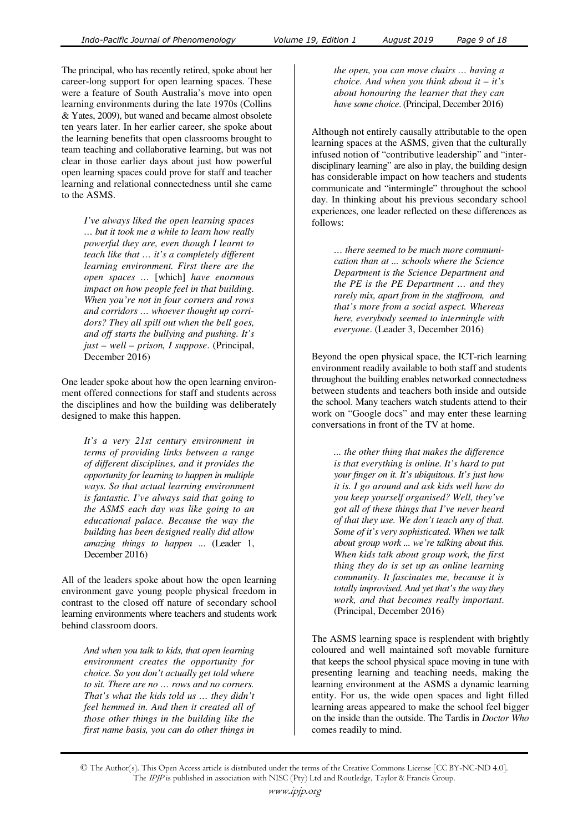The principal, who has recently retired, spoke about her career-long support for open learning spaces. These were a feature of South Australia's move into open learning environments during the late 1970s (Collins & Yates, 2009), but waned and became almost obsolete ten years later. In her earlier career, she spoke about the learning benefits that open classrooms brought to team teaching and collaborative learning, but was not clear in those earlier days about just how powerful open learning spaces could prove for staff and teacher learning and relational connectedness until she came to the ASMS.

> *I've always liked the open learning spaces … but it took me a while to learn how really powerful they are, even though I learnt to teach like that … it's a completely different learning environment. First there are the open spaces …* [which] *have enormous impact on how people feel in that building. When you're not in four corners and rows and corridors … whoever thought up corridors? They all spill out when the bell goes, and off starts the bullying and pushing. It's just – well – prison, I suppose*. (Principal, December 2016)

One leader spoke about how the open learning environment offered connections for staff and students across the disciplines and how the building was deliberately designed to make this happen.

> *It's a very 21st century environment in terms of providing links between a range of different disciplines, and it provides the opportunity for learning to happen in multiple ways. So that actual learning environment is fantastic. I've always said that going to the ASMS each day was like going to an educational palace. Because the way the building has been designed really did allow amazing things to happen ..*. (Leader 1, December 2016)

All of the leaders spoke about how the open learning environment gave young people physical freedom in contrast to the closed off nature of secondary school learning environments where teachers and students work behind classroom doors.

*And when you talk to kids, that open learning environment creates the opportunity for choice. So you don't actually get told where to sit. There are no … rows and no corners. That's what the kids told us … they didn't feel hemmed in. And then it created all of those other things in the building like the first name basis, you can do other things in* 

*the open, you can move chairs … having a choice. And when you think about it – it's about honouring the learner that they can have some choice*. (Principal, December 2016)

Although not entirely causally attributable to the open learning spaces at the ASMS, given that the culturally infused notion of "contributive leadership" and "interdisciplinary learning" are also in play, the building design has considerable impact on how teachers and students communicate and "intermingle" throughout the school day. In thinking about his previous secondary school experiences, one leader reflected on these differences as follows:

*… there seemed to be much more communication than at ... schools where the Science Department is the Science Department and the PE is the PE Department … and they rarely mix, apart from in the staffroom, and that's more from a social aspect. Whereas here, everybody seemed to intermingle with everyone*. (Leader 3, December 2016)

Beyond the open physical space, the ICT-rich learning environment readily available to both staff and students throughout the building enables networked connectedness between students and teachers both inside and outside the school. Many teachers watch students attend to their work on "Google docs" and may enter these learning conversations in front of the TV at home.

*... the other thing that makes the difference is that everything is online. It's hard to put your finger on it. It's ubiquitous. It's just how it is. I go around and ask kids well how do you keep yourself organised? Well, they've got all of these things that I've never heard of that they use. We don't teach any of that. Some of it's very sophisticated. When we talk about group work ... we're talking about this. When kids talk about group work, the first thing they do is set up an online learning community. It fascinates me, because it is totally improvised. And yet that's the way they work, and that becomes really important*. (Principal, December 2016)

The ASMS learning space is resplendent with brightly coloured and well maintained soft movable furniture that keeps the school physical space moving in tune with presenting learning and teaching needs, making the learning environment at the ASMS a dynamic learning entity. For us, the wide open spaces and light filled learning areas appeared to make the school feel bigger on the inside than the outside. The Tardis in *Doctor Who* comes readily to mind.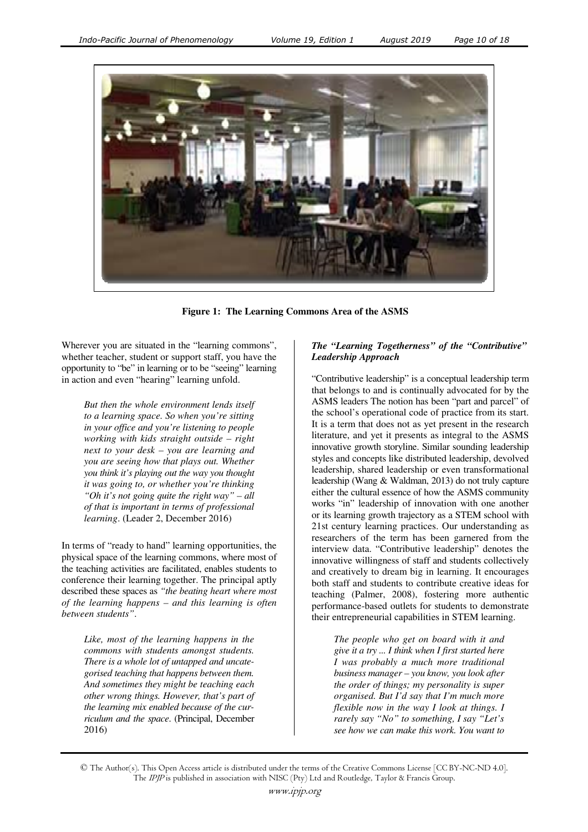

**Figure 1: The Learning Commons Area of the ASMS** 

Wherever you are situated in the "learning commons", whether teacher, student or support staff, you have the opportunity to "be" in learning or to be "seeing" learning in action and even "hearing" learning unfold.

> *But then the whole environment lends itself to a learning space. So when you're sitting in your office and you're listening to people working with kids straight outside – right next to your desk – you are learning and you are seeing how that plays out. Whether you think it's playing out the way you thought it was going to, or whether you're thinking "Oh it's not going quite the right way" – all of that is important in terms of professional learning*. (Leader 2, December 2016)

In terms of "ready to hand" learning opportunities, the physical space of the learning commons, where most of the teaching activities are facilitated, enables students to conference their learning together. The principal aptly described these spaces as *"the beating heart where most of the learning happens – and this learning is often between students"*.

> *Like, most of the learning happens in the commons with students amongst students. There is a whole lot of untapped and uncategorised teaching that happens between them. And sometimes they might be teaching each other wrong things. However, that's part of the learning mix enabled because of the curriculum and the space*. (Principal, December 2016)

# *The "Learning Togetherness" of the "Contributive" Leadership Approach*

"Contributive leadership" is a conceptual leadership term that belongs to and is continually advocated for by the ASMS leaders The notion has been "part and parcel" of the school's operational code of practice from its start. It is a term that does not as yet present in the research literature, and yet it presents as integral to the ASMS innovative growth storyline. Similar sounding leadership styles and concepts like distributed leadership, devolved leadership, shared leadership or even transformational leadership (Wang & Waldman, 2013) do not truly capture either the cultural essence of how the ASMS community works "in" leadership of innovation with one another or its learning growth trajectory as a STEM school with 21st century learning practices. Our understanding as researchers of the term has been garnered from the interview data. "Contributive leadership" denotes the innovative willingness of staff and students collectively and creatively to dream big in learning. It encourages both staff and students to contribute creative ideas for teaching (Palmer, 2008), fostering more authentic performance-based outlets for students to demonstrate their entrepreneurial capabilities in STEM learning.

*The people who get on board with it and give it a try ... I think when I first started here I was probably a much more traditional business manager – you know, you look after the order of things; my personality is super organised. But I'd say that I'm much more flexible now in the way I look at things. I rarely say "No" to something, I say "Let's see how we can make this work. You want to*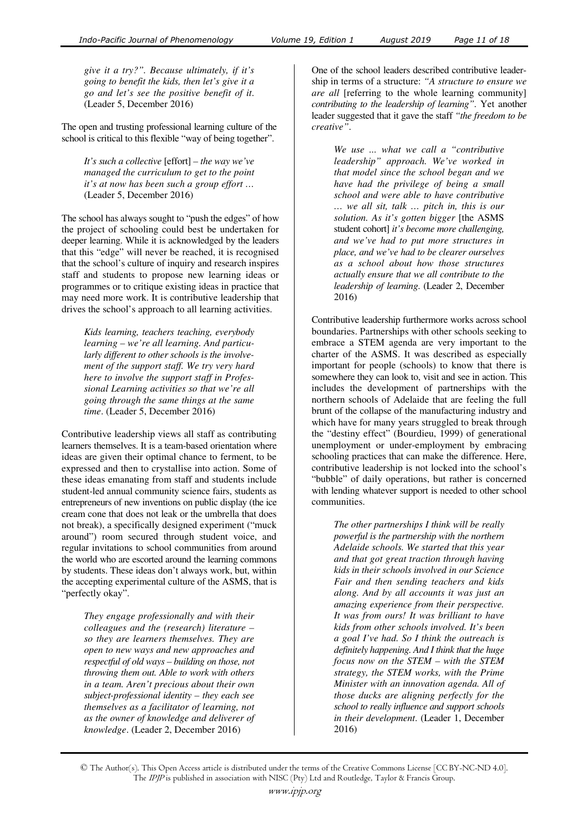*give it a try?". Because ultimately, if it's going to benefit the kids, then let's give it a go and let's see the positive benefit of it*. (Leader 5, December 2016)

The open and trusting professional learning culture of the school is critical to this flexible "way of being together".

> *It's such a collective* [effort] *– the way we've managed the curriculum to get to the point it's at now has been such a group effort …* (Leader 5, December 2016)

The school has always sought to "push the edges" of how the project of schooling could best be undertaken for deeper learning. While it is acknowledged by the leaders that this "edge" will never be reached, it is recognised that the school's culture of inquiry and research inspires staff and students to propose new learning ideas or programmes or to critique existing ideas in practice that may need more work. It is contributive leadership that drives the school's approach to all learning activities.

*Kids learning, teachers teaching, everybody learning – we're all learning. And particularly different to other schools is the involvement of the support staff. We try very hard here to involve the support staff in Professional Learning activities so that we're all going through the same things at the same time*. (Leader 5, December 2016)

Contributive leadership views all staff as contributing learners themselves. It is a team-based orientation where ideas are given their optimal chance to ferment, to be expressed and then to crystallise into action. Some of these ideas emanating from staff and students include student-led annual community science fairs, students as entrepreneurs of new inventions on public display (the ice cream cone that does not leak or the umbrella that does not break), a specifically designed experiment ("muck around") room secured through student voice, and regular invitations to school communities from around the world who are escorted around the learning commons by students. These ideas don't always work, but, within the accepting experimental culture of the ASMS, that is "perfectly okay".

> *They engage professionally and with their colleagues and the (research) literature – so they are learners themselves. They are open to new ways and new approaches and respectful of old ways – building on those, not throwing them out. Able to work with others in a team. Aren't precious about their own subject-professional identity – they each see themselves as a facilitator of learning, not as the owner of knowledge and deliverer of knowledge*. (Leader 2, December 2016)

One of the school leaders described contributive leadership in terms of a structure: *"A structure to ensure we are all* [referring to the whole learning community] *contributing to the leadership of learning"*. Yet another leader suggested that it gave the staff *"the freedom to be creative"*.

> *We use ... what we call a "contributive leadership" approach. We've worked in that model since the school began and we have had the privilege of being a small school and were able to have contributive … we all sit, talk … pitch in, this is our solution. As it's gotten bigger* [the ASMS student cohort] *it's become more challenging, and we've had to put more structures in place, and we've had to be clearer ourselves as a school about how those structures actually ensure that we all contribute to the leadership of learning*. (Leader 2, December 2016)

Contributive leadership furthermore works across school boundaries. Partnerships with other schools seeking to embrace a STEM agenda are very important to the charter of the ASMS. It was described as especially important for people (schools) to know that there is somewhere they can look to, visit and see in action. This includes the development of partnerships with the northern schools of Adelaide that are feeling the full brunt of the collapse of the manufacturing industry and which have for many years struggled to break through the "destiny effect" (Bourdieu, 1999) of generational unemployment or under-employment by embracing schooling practices that can make the difference. Here, contributive leadership is not locked into the school's "bubble" of daily operations, but rather is concerned with lending whatever support is needed to other school communities.

*The other partnerships I think will be really powerful is the partnership with the northern Adelaide schools. We started that this year and that got great traction through having kids in their schools involved in our Science Fair and then sending teachers and kids along. And by all accounts it was just an amazing experience from their perspective. It was from ours! It was brilliant to have kids from other schools involved. It's been a goal I've had. So I think the outreach is definitely happening. And I think that the huge focus now on the STEM – with the STEM strategy, the STEM works, with the Prime Minister with an innovation agenda. All of those ducks are aligning perfectly for the school to really influence and support schools in their development*. (Leader 1, December 2016)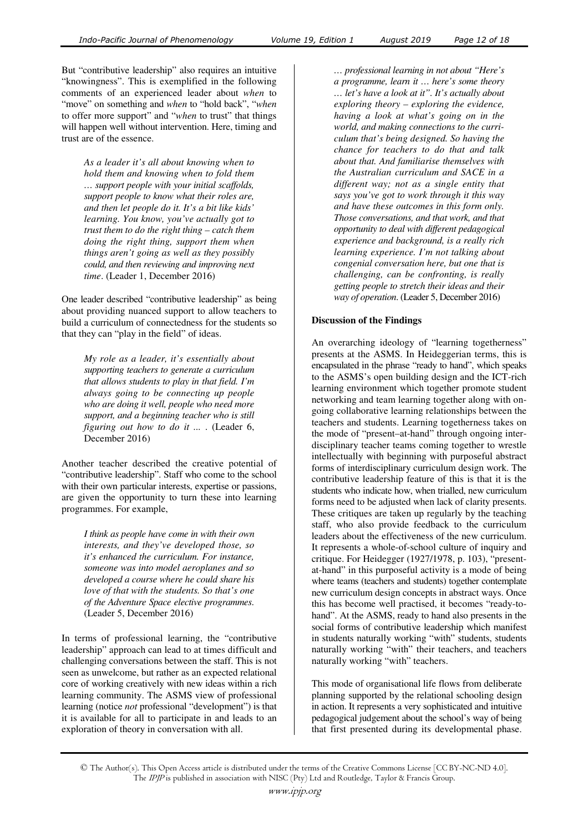But "contributive leadership" also requires an intuitive "knowingness". This is exemplified in the following comments of an experienced leader about *when* to "move" on something and *when* to "hold back", "*when* to offer more support" and "*when* to trust" that things will happen well without intervention. Here, timing and trust are of the essence.

*As a leader it's all about knowing when to hold them and knowing when to fold them … support people with your initial scaffolds, support people to know what their roles are, and then let people do it. It's a bit like kids' learning. You know, you've actually got to trust them to do the right thing – catch them doing the right thing, support them when things aren't going as well as they possibly could, and then reviewing and improving next time*. (Leader 1, December 2016)

One leader described "contributive leadership" as being about providing nuanced support to allow teachers to build a curriculum of connectedness for the students so that they can "play in the field" of ideas.

*My role as a leader, it's essentially about supporting teachers to generate a curriculum that allows students to play in that field. I'm always going to be connecting up people who are doing it well, people who need more support, and a beginning teacher who is still figuring out how to do it ...* . (Leader 6, December 2016)

Another teacher described the creative potential of "contributive leadership". Staff who come to the school with their own particular interests, expertise or passions, are given the opportunity to turn these into learning programmes. For example,

> *I think as people have come in with their own interests, and they've developed those, so it's enhanced the curriculum. For instance, someone was into model aeroplanes and so developed a course where he could share his love of that with the students. So that's one of the Adventure Space elective programmes*. (Leader 5, December 2016)

In terms of professional learning, the "contributive leadership" approach can lead to at times difficult and challenging conversations between the staff. This is not seen as unwelcome, but rather as an expected relational core of working creatively with new ideas within a rich learning community. The ASMS view of professional learning (notice *not* professional "development") is that it is available for all to participate in and leads to an exploration of theory in conversation with all.

*… professional learning in not about "Here's a programme, learn it … here's some theory … let's have a look at it". It's actually about exploring theory – exploring the evidence, having a look at what's going on in the world, and making connections to the curriculum that's being designed. So having the chance for teachers to do that and talk about that. And familiarise themselves with the Australian curriculum and SACE in a different way; not as a single entity that says you've got to work through it this way and have these outcomes in this form only. Those conversations, and that work, and that opportunity to deal with different pedagogical experience and background, is a really rich learning experience. I'm not talking about congenial conversation here, but one that is challenging, can be confronting, is really getting people to stretch their ideas and their way of operation*. (Leader 5, December 2016)

## **Discussion of the Findings**

An overarching ideology of "learning togetherness" presents at the ASMS. In Heideggerian terms, this is encapsulated in the phrase "ready to hand", which speaks to the ASMS's open building design and the ICT-rich learning environment which together promote student networking and team learning together along with ongoing collaborative learning relationships between the teachers and students. Learning togetherness takes on the mode of "present–at-hand" through ongoing interdisciplinary teacher teams coming together to wrestle intellectually with beginning with purposeful abstract forms of interdisciplinary curriculum design work. The contributive leadership feature of this is that it is the students who indicate how, when trialled, new curriculum forms need to be adjusted when lack of clarity presents. These critiques are taken up regularly by the teaching staff, who also provide feedback to the curriculum leaders about the effectiveness of the new curriculum. It represents a whole-of-school culture of inquiry and critique. For Heidegger (1927/1978, p. 103), "presentat-hand" in this purposeful activity is a mode of being where teams (teachers and students) together contemplate new curriculum design concepts in abstract ways. Once this has become well practised, it becomes "ready-tohand". At the ASMS, ready to hand also presents in the social forms of contributive leadership which manifest in students naturally working "with" students, students naturally working "with" their teachers, and teachers naturally working "with" teachers.

This mode of organisational life flows from deliberate planning supported by the relational schooling design in action. It represents a very sophisticated and intuitive pedagogical judgement about the school's way of being that first presented during its developmental phase.

<sup>©</sup> The Author(s). This Open Access article is distributed under the terms of the Creative Commons License [CC BY-NC-ND 4.0]. The IPJP is published in association with NISC (Pty) Ltd and Routledge, Taylor & Francis Group.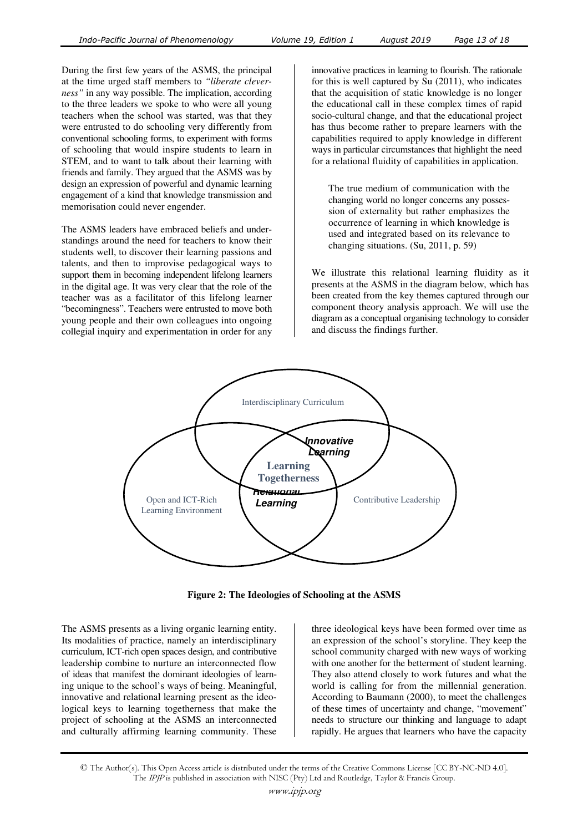During the first few years of the ASMS, the principal at the time urged staff members to *"liberate cleverness"* in any way possible. The implication, according to the three leaders we spoke to who were all young teachers when the school was started, was that they were entrusted to do schooling very differently from conventional schooling forms, to experiment with forms of schooling that would inspire students to learn in STEM, and to want to talk about their learning with friends and family. They argued that the ASMS was by design an expression of powerful and dynamic learning engagement of a kind that knowledge transmission and memorisation could never engender.

The ASMS leaders have embraced beliefs and understandings around the need for teachers to know their students well, to discover their learning passions and talents, and then to improvise pedagogical ways to support them in becoming independent lifelong learners in the digital age. It was very clear that the role of the teacher was as a facilitator of this lifelong learner "becomingness". Teachers were entrusted to move both young people and their own colleagues into ongoing collegial inquiry and experimentation in order for any

innovative practices in learning to flourish. The rationale for this is well captured by Su (2011), who indicates that the acquisition of static knowledge is no longer the educational call in these complex times of rapid socio-cultural change, and that the educational project has thus become rather to prepare learners with the capabilities required to apply knowledge in different ways in particular circumstances that highlight the need for a relational fluidity of capabilities in application.

The true medium of communication with the changing world no longer concerns any possession of externality but rather emphasizes the occurrence of learning in which knowledge is used and integrated based on its relevance to changing situations. (Su, 2011, p. 59)

We illustrate this relational learning fluidity as it presents at the ASMS in the diagram below, which has been created from the key themes captured through our component theory analysis approach. We will use the diagram as a conceptual organising technology to consider and discuss the findings further.



**Figure 2: The Ideologies of Schooling at the ASMS** 

The ASMS presents as a living organic learning entity. Its modalities of practice, namely an interdisciplinary curriculum, ICT-rich open spaces design, and contributive leadership combine to nurture an interconnected flow of ideas that manifest the dominant ideologies of learning unique to the school's ways of being. Meaningful, innovative and relational learning present as the ideological keys to learning togetherness that make the project of schooling at the ASMS an interconnected and culturally affirming learning community. These

three ideological keys have been formed over time as an expression of the school's storyline. They keep the school community charged with new ways of working with one another for the betterment of student learning. They also attend closely to work futures and what the world is calling for from the millennial generation. According to Baumann (2000), to meet the challenges of these times of uncertainty and change, "movement" needs to structure our thinking and language to adapt rapidly. He argues that learners who have the capacity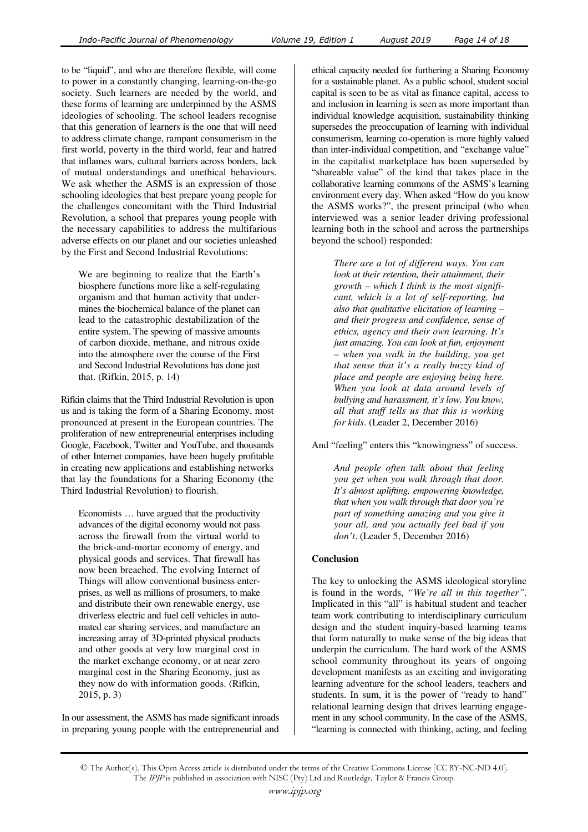to be "liquid", and who are therefore flexible, will come to power in a constantly changing, learning-on-the-go society. Such learners are needed by the world, and these forms of learning are underpinned by the ASMS ideologies of schooling. The school leaders recognise that this generation of learners is the one that will need to address climate change, rampant consumerism in the first world, poverty in the third world, fear and hatred that inflames wars, cultural barriers across borders, lack of mutual understandings and unethical behaviours. We ask whether the ASMS is an expression of those schooling ideologies that best prepare young people for the challenges concomitant with the Third Industrial Revolution, a school that prepares young people with the necessary capabilities to address the multifarious adverse effects on our planet and our societies unleashed by the First and Second Industrial Revolutions:

We are beginning to realize that the Earth's biosphere functions more like a self-regulating organism and that human activity that undermines the biochemical balance of the planet can lead to the catastrophic destabilization of the entire system. The spewing of massive amounts of carbon dioxide, methane, and nitrous oxide into the atmosphere over the course of the First and Second Industrial Revolutions has done just that. (Rifkin, 2015, p. 14)

Rifkin claims that the Third Industrial Revolution is upon us and is taking the form of a Sharing Economy, most pronounced at present in the European countries. The proliferation of new entrepreneurial enterprises including Google, Facebook, Twitter and YouTube, and thousands of other Internet companies, have been hugely profitable in creating new applications and establishing networks that lay the foundations for a Sharing Economy (the Third Industrial Revolution) to flourish.

Economists … have argued that the productivity advances of the digital economy would not pass across the firewall from the virtual world to the brick-and-mortar economy of energy, and physical goods and services. That firewall has now been breached. The evolving Internet of Things will allow conventional business enterprises, as well as millions of prosumers, to make and distribute their own renewable energy, use driverless electric and fuel cell vehicles in automated car sharing services, and manufacture an increasing array of 3D-printed physical products and other goods at very low marginal cost in the market exchange economy, or at near zero marginal cost in the Sharing Economy, just as they now do with information goods. (Rifkin, 2015, p. 3)

In our assessment, the ASMS has made significant inroads in preparing young people with the entrepreneurial and ethical capacity needed for furthering a Sharing Economy for a sustainable planet. As a public school, student social capital is seen to be as vital as finance capital, access to and inclusion in learning is seen as more important than individual knowledge acquisition, sustainability thinking supersedes the preoccupation of learning with individual consumerism, learning co-operation is more highly valued than inter-individual competition, and "exchange value" in the capitalist marketplace has been superseded by "shareable value" of the kind that takes place in the collaborative learning commons of the ASMS's learning environment every day. When asked "How do you know the ASMS works?", the present principal (who when interviewed was a senior leader driving professional learning both in the school and across the partnerships beyond the school) responded:

*There are a lot of different ways. You can look at their retention, their attainment, their growth – which I think is the most significant, which is a lot of self-reporting, but also that qualitative elicitation of learning – and their progress and confidence, sense of ethics, agency and their own learning. It's just amazing. You can look at fun, enjoyment – when you walk in the building, you get that sense that it's a really buzzy kind of place and people are enjoying being here. When you look at data around levels of bullying and harassment, it's low. You know, all that stuff tells us that this is working for kids*. (Leader 2, December 2016)

And "feeling" enters this "knowingness" of success.

*And people often talk about that feeling you get when you walk through that door. It's almost uplifting, empowering knowledge, that when you walk through that door you're part of something amazing and you give it your all, and you actually feel bad if you don't*. (Leader 5, December 2016)

#### **Conclusion**

The key to unlocking the ASMS ideological storyline is found in the words, *"We're all in this together"*. Implicated in this "all" is habitual student and teacher team work contributing to interdisciplinary curriculum design and the student inquiry-based learning teams that form naturally to make sense of the big ideas that underpin the curriculum. The hard work of the ASMS school community throughout its years of ongoing development manifests as an exciting and invigorating learning adventure for the school leaders, teachers and students. In sum, it is the power of "ready to hand" relational learning design that drives learning engagement in any school community. In the case of the ASMS, "learning is connected with thinking, acting, and feeling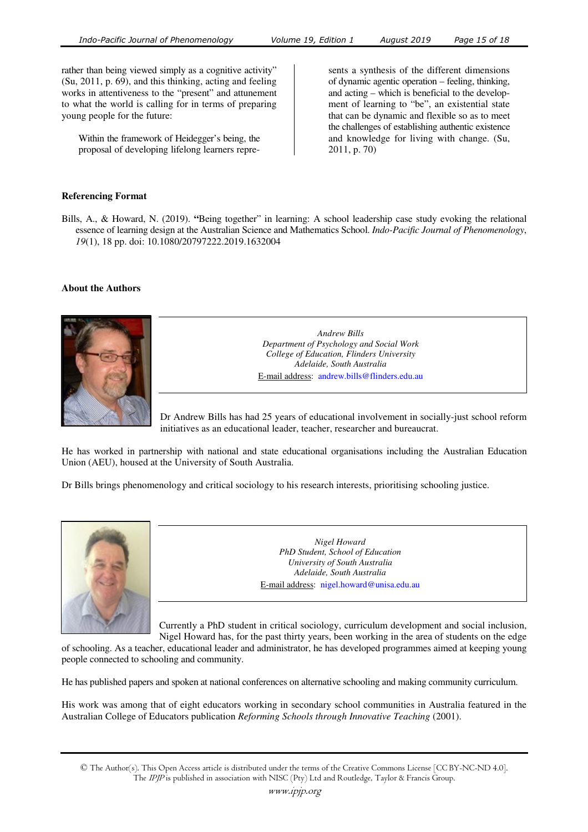rather than being viewed simply as a cognitive activity" (Su, 2011, p. 69), and this thinking, acting and feeling works in attentiveness to the "present" and attunement to what the world is calling for in terms of preparing young people for the future:

Within the framework of Heidegger's being, the proposal of developing lifelong learners represents a synthesis of the different dimensions of dynamic agentic operation – feeling, thinking, and acting – which is beneficial to the development of learning to "be", an existential state that can be dynamic and flexible so as to meet the challenges of establishing authentic existence and knowledge for living with change. (Su, 2011, p. 70)

## **Referencing Format**

Bills, A., & Howard, N. (2019). **"**Being together" in learning: A school leadership case study evoking the relational essence of learning design at the Australian Science and Mathematics School. *Indo-Pacific Journal of Phenomenology*, *19*(1), 18 pp. doi: 10.1080/20797222.2019.1632004

## **About the Authors**



*Andrew Bills Department of Psychology and Social Work College of Education, Flinders University Adelaide, South Australia*  E-mail address: andrew.bills@flinders.edu.au

Dr Andrew Bills has had 25 years of educational involvement in socially-just school reform initiatives as an educational leader, teacher, researcher and bureaucrat.

He has worked in partnership with national and state educational organisations including the Australian Education Union (AEU), housed at the University of South Australia.

Dr Bills brings phenomenology and critical sociology to his research interests, prioritising schooling justice.



*Nigel Howard PhD Student, School of Education University of South Australia Adelaide, South Australia*  E-mail address: nigel.howard@unisa.edu.au

Currently a PhD student in critical sociology, curriculum development and social inclusion,

Nigel Howard has, for the past thirty years, been working in the area of students on the edge of schooling. As a teacher, educational leader and administrator, he has developed programmes aimed at keeping young people connected to schooling and community.

He has published papers and spoken at national conferences on alternative schooling and making community curriculum.

His work was among that of eight educators working in secondary school communities in Australia featured in the Australian College of Educators publication *Reforming Schools through Innovative Teaching* (2001).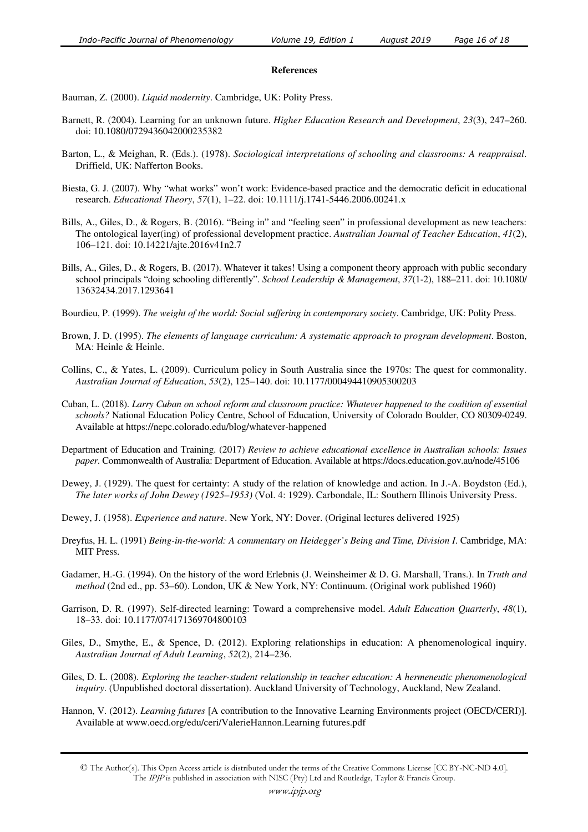#### **References**

Bauman, Z. (2000). *Liquid modernity*. Cambridge, UK: Polity Press.

- Barnett, R. (2004). Learning for an unknown future. *Higher Education Research and Development*, *23*(3), 247–260. doi: 10.1080/0729436042000235382
- Barton, L., & Meighan, R. (Eds.). (1978). *Sociological interpretations of schooling and classrooms: A reappraisal*. Driffield, UK: Nafferton Books.
- Biesta, G. J. (2007). Why "what works" won't work: Evidence-based practice and the democratic deficit in educational research. *Educational Theory*, *57*(1), 1–22. doi: 10.1111/j.1741-5446.2006.00241.x
- Bills, A., Giles, D., & Rogers, B. (2016). "Being in" and "feeling seen" in professional development as new teachers: The ontological layer(ing) of professional development practice. *Australian Journal of Teacher Education*, *41*(2), 106–121. doi: 10.14221/ajte.2016v41n2.7
- Bills, A., Giles, D., & Rogers, B. (2017). Whatever it takes! Using a component theory approach with public secondary school principals "doing schooling differently". *School Leadership & Management*, *37*(1-2), 188–211. doi: 10.1080/ 13632434.2017.1293641
- Bourdieu, P. (1999). *The weight of the world: Social suffering in contemporary society*. Cambridge, UK: Polity Press.
- Brown, J. D. (1995). *The elements of language curriculum: A systematic approach to program development*. Boston, MA: Heinle & Heinle.
- Collins, C., & Yates, L. (2009). Curriculum policy in South Australia since the 1970s: The quest for commonality. *Australian Journal of Education*, *53*(2), 125–140. doi: 10.1177/000494410905300203
- Cuban, L. (2018). *Larry Cuban on school reform and classroom practice: Whatever happened to the coalition of essential schools?* National Education Policy Centre, School of Education, University of Colorado Boulder, CO 80309-0249. Available at https://nepc.colorado.edu/blog/whatever-happened
- Department of Education and Training. (2017) *Review to achieve educational excellence in Australian schools: Issues paper*. Commonwealth of Australia: Department of Education. Available at https://docs.education.gov.au/node/45106
- Dewey, J. (1929). The quest for certainty: A study of the relation of knowledge and action. In J.-A. Boydston (Ed.), *The later works of John Dewey (1925–1953)* (Vol. 4: 1929). Carbondale, IL: Southern Illinois University Press.
- Dewey, J. (1958). *Experience and nature*. New York, NY: Dover. (Original lectures delivered 1925)
- Dreyfus, H. L. (1991) *Being-in-the-world: A commentary on Heidegger's Being and Time, Division I*. Cambridge, MA: MIT Press.
- Gadamer, H.-G. (1994). On the history of the word Erlebnis (J. Weinsheimer & D. G. Marshall, Trans.). In *Truth and method* (2nd ed., pp. 53–60). London, UK & New York, NY: Continuum. (Original work published 1960)
- Garrison, D. R. (1997). Self-directed learning: Toward a comprehensive model. *Adult Education Quarterly*, *48*(1), 18–33. doi: 10.1177/074171369704800103
- Giles, D., Smythe, E., & Spence, D. (2012). Exploring relationships in education: A phenomenological inquiry. *Australian Journal of Adult Learning*, *52*(2), 214–236.
- Giles, D. L. (2008). *Exploring the teacher-student relationship in teacher education: A hermeneutic phenomenological inquiry*. (Unpublished doctoral dissertation). Auckland University of Technology, Auckland, New Zealand.
- Hannon, V. (2012). *Learning futures* [A contribution to the Innovative Learning Environments project (OECD/CERI)]. Available at www.oecd.org/edu/ceri/ValerieHannon.Learning futures.pdf

<sup>©</sup> The Author(s). This Open Access article is distributed under the terms of the Creative Commons License [CC BY-NC-ND 4.0]. The IPJP is published in association with NISC (Pty) Ltd and Routledge, Taylor & Francis Group.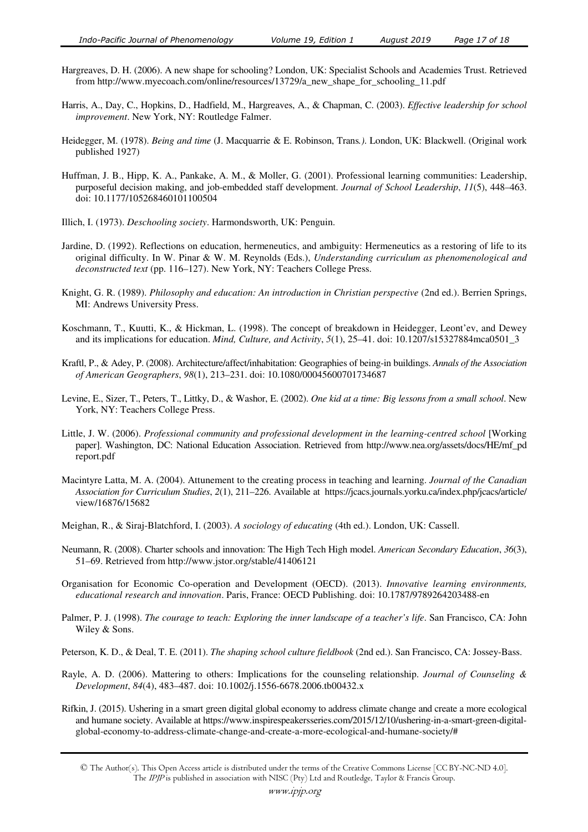- Hargreaves, D. H. (2006). A new shape for schooling? London, UK: Specialist Schools and Academies Trust. Retrieved from http://www.myecoach.com/online/resources/13729/a\_new\_shape\_for\_schooling\_11.pdf
- Harris, A., Day, C., Hopkins, D., Hadfield, M., Hargreaves, A., & Chapman, C. (2003). *Effective leadership for school improvement*. New York, NY: Routledge Falmer.
- Heidegger, M. (1978). *Being and time* (J. Macquarrie & E. Robinson, Trans*.)*. London, UK: Blackwell. (Original work published 1927)
- Huffman, J. B., Hipp, K. A., Pankake, A. M., & Moller, G. (2001). Professional learning communities: Leadership, purposeful decision making, and job-embedded staff development. *Journal of School Leadership*, *11*(5), 448–463. doi: 10.1177/105268460101100504
- Illich, I. (1973). *Deschooling society*. Harmondsworth, UK: Penguin.
- Jardine, D. (1992). Reflections on education, hermeneutics, and ambiguity: Hermeneutics as a restoring of life to its original difficulty. In W. Pinar & W. M. Reynolds (Eds.), *Understanding curriculum as phenomenological and deconstructed text* (pp. 116–127). New York, NY: Teachers College Press.
- Knight, G. R. (1989). *Philosophy and education: An introduction in Christian perspective* (2nd ed.). Berrien Springs, MI: Andrews University Press.
- Koschmann, T., Kuutti, K., & Hickman, L. (1998). The concept of breakdown in Heidegger, Leont'ev, and Dewey and its implications for education. *Mind, Culture, and Activity*, *5*(1), 25–41. doi: 10.1207/s15327884mca0501\_3
- Kraftl, P., & Adey, P. (2008). Architecture/affect/inhabitation: Geographies of being-in buildings. *Annals of the Association of American Geographers*, *98*(1), 213–231. doi: 10.1080/00045600701734687
- Levine, E., Sizer, T., Peters, T., Littky, D., & Washor, E. (2002). *One kid at a time: Big lessons from a small school*. New York, NY: Teachers College Press.
- Little, J. W. (2006). *Professional community and professional development in the learning-centred school* [Working paper]. Washington, DC: National Education Association. Retrieved from http://www.nea.org/assets/docs/HE/mf\_pd report.pdf
- Macintyre Latta, M. A. (2004). Attunement to the creating process in teaching and learning. *Journal of the Canadian Association for Curriculum Studies*, *2*(1), 211–226. Available at https://jcacs.journals.yorku.ca/index.php/jcacs/article/ view/16876/15682
- Meighan, R., & Siraj-Blatchford, I. (2003). *A sociology of educating* (4th ed.). London, UK: Cassell.
- Neumann, R. (2008). Charter schools and innovation: The High Tech High model. *American Secondary Education*, *36*(3), 51–69. Retrieved from http://www.jstor.org/stable/41406121
- Organisation for Economic Co-operation and Development (OECD). (2013). *Innovative learning environments, educational research and innovation*. Paris, France: OECD Publishing. doi: 10.1787/9789264203488-en
- Palmer, P. J. (1998). *The courage to teach: Exploring the inner landscape of a teacher's life*. San Francisco, CA: John Wiley & Sons.
- Peterson, K. D., & Deal, T. E. (2011). *The shaping school culture fieldbook* (2nd ed.). San Francisco, CA: Jossey-Bass.
- Rayle, A. D. (2006). Mattering to others: Implications for the counseling relationship. *Journal of Counseling & Development*, *84*(4), 483–487. doi: 10.1002/j.1556-6678.2006.tb00432.x
- Rifkin, J. (2015). Ushering in a smart green digital global economy to address climate change and create a more ecological and humane society. Available at https://www.inspirespeakersseries.com/2015/12/10/ushering-in-a-smart-green-digitalglobal-economy-to-address-climate-change-and-create-a-more-ecological-and-humane-society/#

<sup>©</sup> The Author(s). This Open Access article is distributed under the terms of the Creative Commons License [CC BY-NC-ND 4.0]. The IPJP is published in association with NISC (Pty) Ltd and Routledge, Taylor & Francis Group.